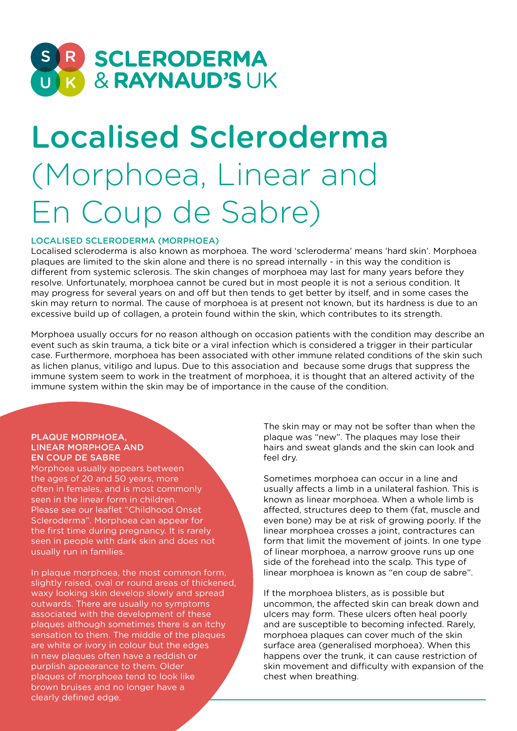

# Localised Scleroderma (Morphoea, Linear and En Coup de Sabre)

### LOCALISED SCLERODERMA (MORPHOEA)

Localised scleroderma is also known as morphoea. The word 'scleroderma' means 'hard skin'. Morphoea plaques are limited to the skin alone and there is no spread internally - in this way the condition is different from systemic sclerosis. The skin changes of morphoea may last for many years before they resolve. Unfortunately, morphoea cannot be cured but in most people it is not a serious condition. It may progress for several years on and off but then tends to get better by itself, and in some cases the skin may return to normal. The cause of morphoea is at present not known, but its hardness is due to an excessive build up of collagen, a protein found within the skin, which contributes to its strength.

Morphoea usually occurs for no reason although on occasion patients with the condition may describe an event such as skin trauma, a tick bite or a viral infection which is considered a trigger in their particular case. Furthermore, morphoea has been associated with other immune related conditions of the skin such as lichen planus, vitiligo and lupus. Due to this association and because some drugs that suppress the immune system seem to work in the treatment of morphoea, it is thought that an altered activity of the immune system within the skin may be of importance in the cause of the condition.

#### PLAQUE MORPHOEA, LINEAR MORPHOEA AND EN COUP DE SABRE

Morphoea usually appears between the ages of 20 and 50 years, more often in females, and is most commonly seen in the linear form in children. Please see our leaflet "Childhood Onset Scleroderma". Morphoea can appear for the first time during pregnancy. It is rarely seen in people with dark skin and does not usually run in families.

In plaque morphoea, the most common form, slightly raised, oval or round areas of thickened, waxy looking skin develop slowly and spread outwards. There are usually no symptoms associated with the development of these plaques although sometimes there is an itchy sensation to them. The middle of the plaques are white or ivory in colour but the edges in new plaques often have a reddish or purplish appearance to them. Older plaques of morphoea tend to look like brown bruises and no longer have a clearly defined edge.

The skin may or may not be softer than when the plaque was "new". The plaques may lose their hairs and sweat glands and the skin can look and feel dry.

Sometimes morphoea can occur in a line and usually affects a limb in a unilateral fashion. This is known as linear morphoea. When a whole limb is affected, structures deep to them (fat, muscle and even bone) may be at risk of growing poorly. If the linear morphoea crosses a joint, contractures can form that limit the movement of joints. In one type of linear morphoea, a narrow groove runs up one side of the forehead into the scalp. This type of linear morphoea is known as "en coup de sabre".

If the morphoea blisters, as is possible but uncommon, the affected skin can break down and ulcers may form. These ulcers often heal poorly and are susceptible to becoming infected. Rarely, morphoea plaques can cover much of the skin surface area (generalised morphoea). When this happens over the trunk, it can cause restriction of skin movement and difficulty with expansion of the chest when breathing.